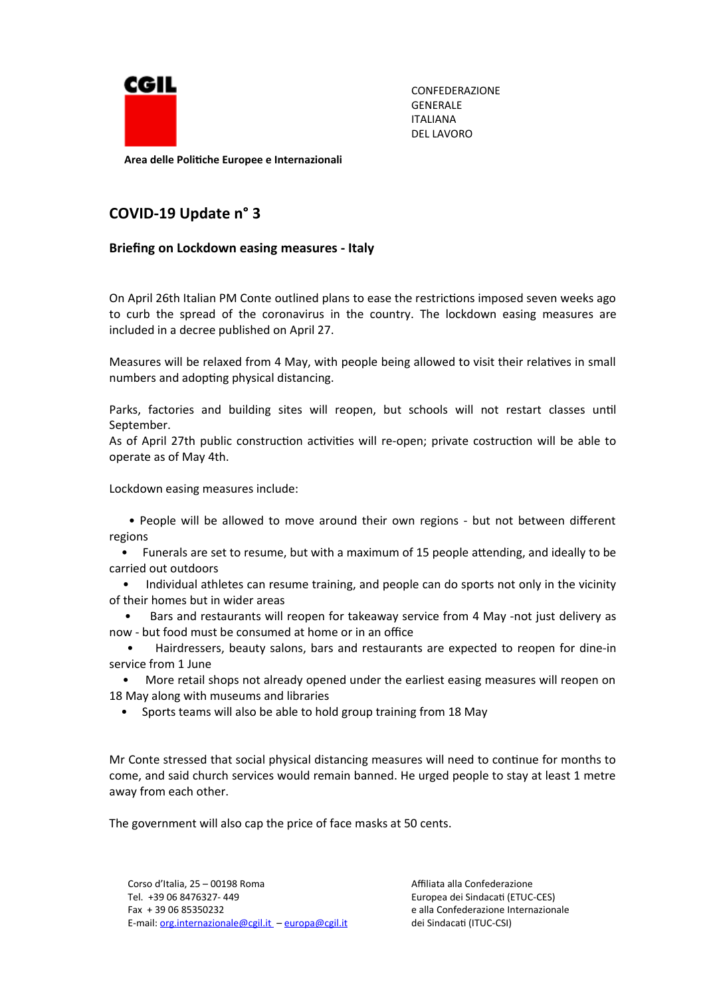

CONFEDERAZIONE GENERALE ITALIANA DEL LAVORO

**Area delle Politiche Europee e Internazionali**

## **COVID-19 Update n° 3**

## **Briefing on Lockdown easing measures - Italy**

On April 26th Italian PM Conte outlined plans to ease the restrictions imposed seven weeks ago to curb the spread of the coronavirus in the country. The lockdown easing measures are included in a decree published on April 27.

Measures will be relaxed from 4 May, with people being allowed to visit their relatives in small numbers and adopting physical distancing.

Parks, factories and building sites will reopen, but schools will not restart classes until September.

As of April 27th public construction activities will re-open; private costruction will be able to operate as of May 4th.

Lockdown easing measures include:

 • People will be allowed to move around their own regions - but not between different regions

 • Funerals are set to resume, but with a maximum of 15 people attending, and ideally to be carried out outdoors

• Individual athletes can resume training, and people can do sports not only in the vicinity of their homes but in wider areas

 • Bars and restaurants will reopen for takeaway service from 4 May -not just delivery as now - but food must be consumed at home or in an office

 • Hairdressers, beauty salons, bars and restaurants are expected to reopen for dine-in service from 1 June

 • More retail shops not already opened under the earliest easing measures will reopen on 18 May along with museums and libraries

• Sports teams will also be able to hold group training from 18 May

Mr Conte stressed that social physical distancing measures will need to continue for months to come, and said church services would remain banned. He urged people to stay at least 1 metre away from each other.

The government will also cap the price of face masks at 50 cents.

Corso d'Italia, 25 – 00198 Roma (2008) a Corso d'Italia, 25 – 00198 Roma Tel. +39 06 8476327- 449 Europea dei Sindacati (ETUC-CES) Fax + 39 06 85350232 e alla Confederazione Internazionale E-mail: [org.internazionale@cgil.it](mailto:org.internazionale@cggil.it) – europa@cgil.it dei Sindacati (ITUC-CSI)